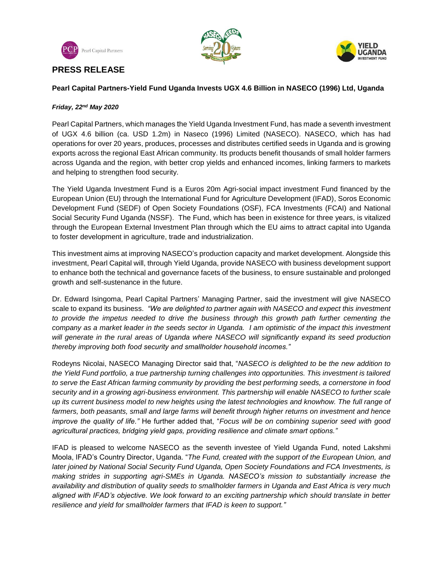

**PRESS RELEASE**





### **Pearl Capital Partners-Yield Fund Uganda Invests UGX 4.6 Billion in NASECO (1996) Ltd, Uganda**

### *Friday, 22nd May 2020*

Pearl Capital Partners, which manages the Yield Uganda Investment Fund, has made a seventh investment of UGX 4.6 billion (ca. USD 1.2m) in Naseco (1996) Limited (NASECO). NASECO, which has had operations for over 20 years, produces, processes and distributes certified seeds in Uganda and is growing exports across the regional East African community. Its products benefit thousands of small holder farmers across Uganda and the region, with better crop yields and enhanced incomes, linking farmers to markets and helping to strengthen food security.

The Yield Uganda Investment Fund is a Euros 20m Agri-social impact investment Fund financed by the European Union (EU) through the International Fund for Agriculture Development (IFAD), Soros Economic Development Fund (SEDF) of Open Society Foundations (OSF), FCA Investments (FCAI) and National Social Security Fund Uganda (NSSF). The Fund, which has been in existence for three years, is vitalized through the European External Investment Plan through which the EU aims to attract capital into Uganda to foster development in agriculture, trade and industrialization.

This investment aims at improving NASECO's production capacity and market development. Alongside this investment, Pearl Capital will, through Yield Uganda, provide NASECO with business development support to enhance both the technical and governance facets of the business, to ensure sustainable and prolonged growth and self-sustenance in the future.

Dr. Edward Isingoma, Pearl Capital Partners' Managing Partner, said the investment will give NASECO scale to expand its business. *"We are delighted to partner again with NASECO and expect this investment to provide the impetus needed to drive the business through this growth path further cementing the company as a market leader in the seeds sector in Uganda. I am optimistic of the impact this investment will generate in the rural areas of Uganda where NASECO will significantly expand its seed production thereby improving both food security and smallholder household incomes."*

Rodeyns Nicolai, NASECO Managing Director said that, "*NASECO is delighted to be the new addition to the Yield Fund portfolio, a true partnership turning challenges into opportunities. This investment is tailored to serve the East African farming community by providing the best performing seeds, a cornerstone in food security and in a growing agri-business environment. This partnership will enable NASECO to further scale up its current business model to new heights using the latest technologies and knowhow. The full range of farmers, both peasants, small and large farms will benefit through higher returns on investment and hence improve the quality of life."* He further added that, "*Focus will be on combining superior seed with good agricultural practices, bridging yield gaps, providing resilience and climate smart options."*

IFAD is pleased to welcome NASECO as the seventh investee of Yield Uganda Fund, noted Lakshmi Moola, IFAD's Country Director, Uganda. "*The Fund, created with the support of the European Union, and later joined by National Social Security Fund Uganda, Open Society Foundations and FCA Investments, is making strides in supporting agri-SMEs in Uganda. NASECO's mission to substantially increase the availability and distribution of quality seeds to smallholder farmers in Uganda and East Africa is very much aligned with IFAD's objective. We look forward to an exciting partnership which should translate in better resilience and yield for smallholder farmers that IFAD is keen to support."*